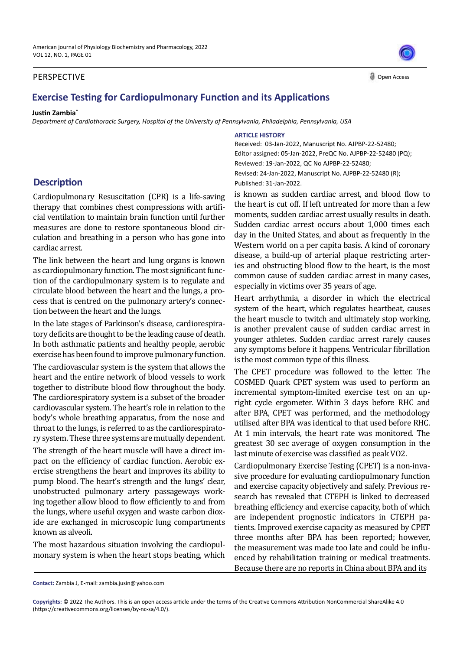### PERSPECTIVE

# **Exercise Testing for Cardiopulmonary Function and its Applications**

#### **Justin Zambia\***

*Department of Cardiothoracic Surgery, Hospital of the University of Pennsylvania, Philadelphia, Pennsylvania, USA*

## **Description**

Cardiopulmonary Resuscitation (CPR) is a life-saving therapy that combines chest compressions with artificial ventilation to maintain brain function until further measures are done to restore spontaneous blood circulation and breathing in a person who has gone into cardiac arrest.

The link between the heart and lung organs is known as cardiopulmonary function. The most significant function of the cardiopulmonary system is to regulate and circulate blood between the heart and the lungs, a process that is centred on the pulmonary artery's connection between the heart and the lungs.

In the late stages of Parkinson's disease, cardiorespiratory deficits are thought to be the leading cause of death. In both asthmatic patients and healthy people, aerobic exercise has been found to improve pulmonary function.

The cardiovascular system is the system that allows the heart and the entire network of blood vessels to work together to distribute blood flow throughout the body. The cardiorespiratory system is a subset of the broader cardiovascular system. The heart's role in relation to the body's whole breathing apparatus, from the nose and throat to the lungs, is referred to as the cardiorespiratory system. These three systems are mutually dependent.

The strength of the heart muscle will have a direct impact on the efficiency of cardiac function. Aerobic exercise strengthens the heart and improves its ability to pump blood. The heart's strength and the lungs' clear, unobstructed pulmonary artery passageways working together allow blood to flow efficiently to and from the lungs, where useful oxygen and waste carbon dioxide are exchanged in microscopic lung compartments known as alveoli.

The most hazardous situation involving the cardiopulmonary system is when the heart stops beating, which

#### **ARTICLE HISTORY**

Received: 03-Jan-2022, Manuscript No. AJPBP-22-52480; Editor assigned: 05-Jan-2022, PreQC No. AJPBP-22-52480 (PQ); Reviewed: 19-Jan-2022, QC No AJPBP-22-52480; Revised: 24-Jan-2022, Manuscript No. AJPBP-22-52480 (R); Published: 31-Jan-2022.

is known as sudden cardiac arrest, and blood flow to the heart is cut off. If left untreated for more than a few moments, sudden cardiac arrest usually results in death. Sudden cardiac arrest occurs about 1,000 times each day in the United States, and about as frequently in the Western world on a per capita basis. A kind of coronary disease, a build-up of arterial plaque restricting arteries and obstructing blood flow to the heart, is the most common cause of sudden cardiac arrest in many cases, especially in victims over 35 years of age.

Heart arrhythmia, a disorder in which the electrical system of the heart, which regulates heartbeat, causes the heart muscle to twitch and ultimately stop working, is another prevalent cause of sudden cardiac arrest in younger athletes. Sudden cardiac arrest rarely causes any symptoms before it happens. Ventricular fibrillation is the most common type of this illness.

The CPET procedure was followed to the letter. The COSMED Quark CPET system was used to perform an incremental symptom-limited exercise test on an upright cycle ergometer. Within 3 days before RHC and after BPA, CPET was performed, and the methodology utilised after BPA was identical to that used before RHC. At 1 min intervals, the heart rate was monitored. The greatest 30 sec average of oxygen consumption in the last minute of exercise was classified as peak VO2.

Cardiopulmonary Exercise Testing (CPET) is a non-invasive procedure for evaluating cardiopulmonary function and exercise capacity objectively and safely. Previous research has revealed that CTEPH is linked to decreased breathing efficiency and exercise capacity, both of which are independent prognostic indicators in CTEPH patients. Improved exercise capacity as measured by CPET three months after BPA has been reported; however, the measurement was made too late and could be influenced by rehabilitation training or medical treatments. Because there are no reports in China about BPA and its

**Copyrights:** © 2022 The Authors. This is an open access article under the terms of the Creative Commons Attribution NonCommercial ShareAlike 4.0 (https://creativecommons.org/licenses/by-nc-sa/4.0/).



Open Access

**Contact:** Zambia J, E-mail: zambia.jusin@yahoo.com